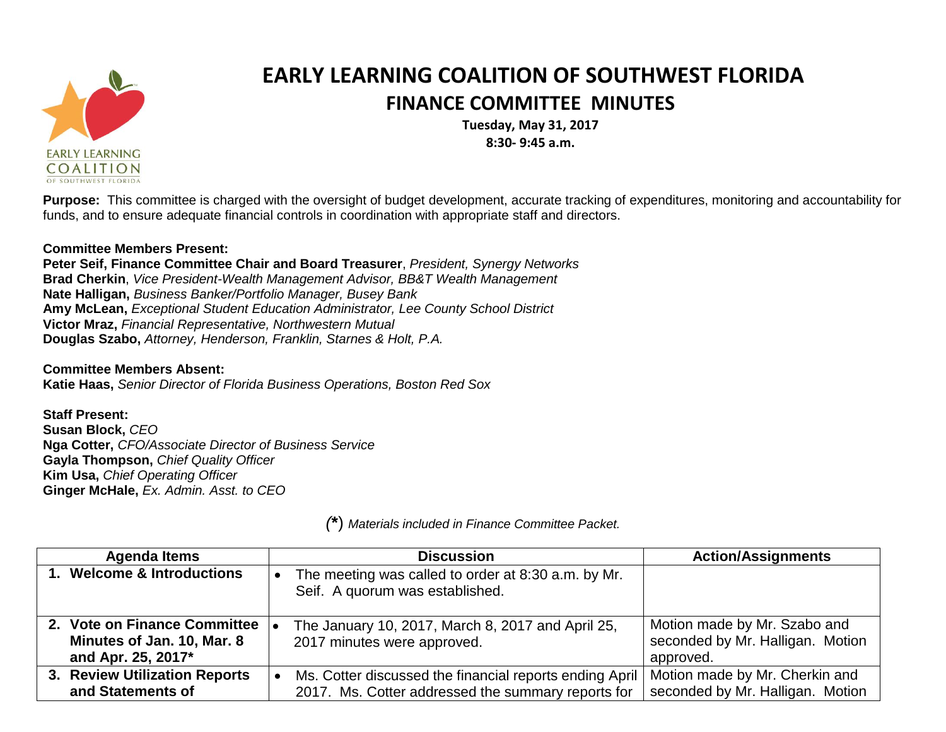

## **EARLY LEARNING COALITION OF SOUTHWEST FLORIDA FINANCE COMMITTEE MINUTES**

**Tuesday, May 31, 2017 8:30- 9:45 a.m.**

**Purpose:** This committee is charged with the oversight of budget development, accurate tracking of expenditures, monitoring and accountability for funds, and to ensure adequate financial controls in coordination with appropriate staff and directors.

## **Committee Members Present:**

**Peter Seif, Finance Committee Chair and Board Treasurer**, *President, Synergy Networks* **Brad Cherkin**, *Vice President-Wealth Management Advisor, BB&T Wealth Management* **Nate Halligan,** *Business Banker/Portfolio Manager, Busey Bank* **Amy McLean,** *Exceptional Student Education Administrator, Lee County School District* **Victor Mraz,** *Financial Representative, Northwestern Mutual* **Douglas Szabo,** *Attorney, Henderson, Franklin, Starnes & Holt, P.A.*

**Committee Members Absent: Katie Haas,** *Senior Director of Florida Business Operations, Boston Red Sox*

**Staff Present: Susan Block,** *CEO* **Nga Cotter,** *CFO/Associate Director of Business Service* **Gayla Thompson,** *Chief Quality Officer* **Kim Usa,** *Chief Operating Officer* **Ginger McHale,** *Ex. Admin. Asst. to CEO*

| <b>Agenda Items</b>                                                              | <b>Discussion</b>                                                                                             | <b>Action/Assignments</b>                                                     |
|----------------------------------------------------------------------------------|---------------------------------------------------------------------------------------------------------------|-------------------------------------------------------------------------------|
| 1. Welcome & Introductions                                                       | The meeting was called to order at 8:30 a.m. by Mr.<br>Seif. A quorum was established.                        |                                                                               |
| 2. Vote on Finance Committee<br>Minutes of Jan. 10, Mar. 8<br>and Apr. 25, 2017* | The January 10, 2017, March 8, 2017 and April 25,<br>2017 minutes were approved.                              | Motion made by Mr. Szabo and<br>seconded by Mr. Halligan. Motion<br>approved. |
| 3. Review Utilization Reports<br>and Statements of                               | Ms. Cotter discussed the financial reports ending April<br>2017. Ms. Cotter addressed the summary reports for | Motion made by Mr. Cherkin and<br>seconded by Mr. Halligan. Motion            |

*(***\***) *Materials included in Finance Committee Packet.*